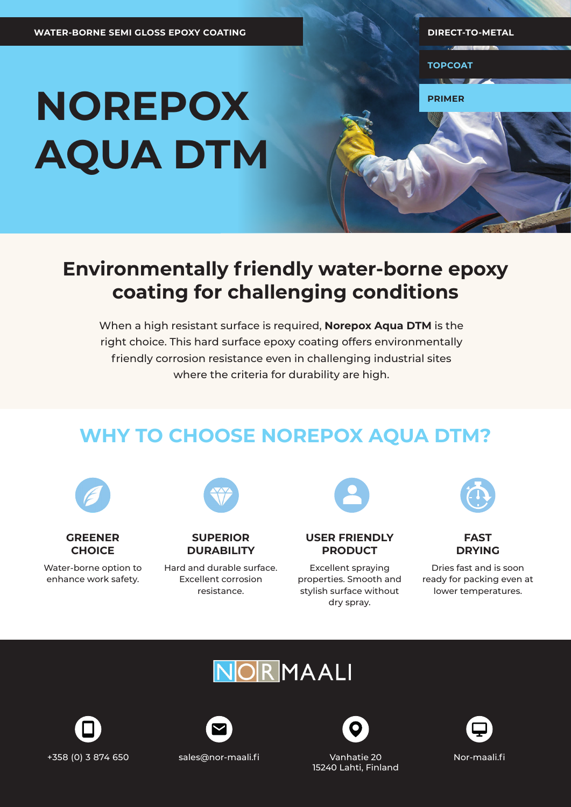**TOPCOAT**

**PRIMER**

# **NOREPOX AQUA DTM**

### **Environmentally friendly water-borne epoxy coating for challenging conditions**

When a high resistant surface is required, **Norepox Aqua DTM** is the right choice. This hard surface epoxy coating offers environmentally friendly corrosion resistance even in challenging industrial sites where the criteria for durability are high.

## **WHY TO CHOOSE NOREPOX AQUA DTM?**

| <b>GREENER</b> |
|----------------|
| <b>CHOICE</b>  |

Water-borne option to enhance work safety.

**SUPERIOR DURABILITY**

Hard and durable surface. Excellent corrosion resistance.

**USER FRIENDLY PRODUCT**

Excellent spraying properties. Smooth and stylish surface without dry spray.





Dries fast and is soon ready for packing even at lower temperatures.







15240 Lahti, Finland